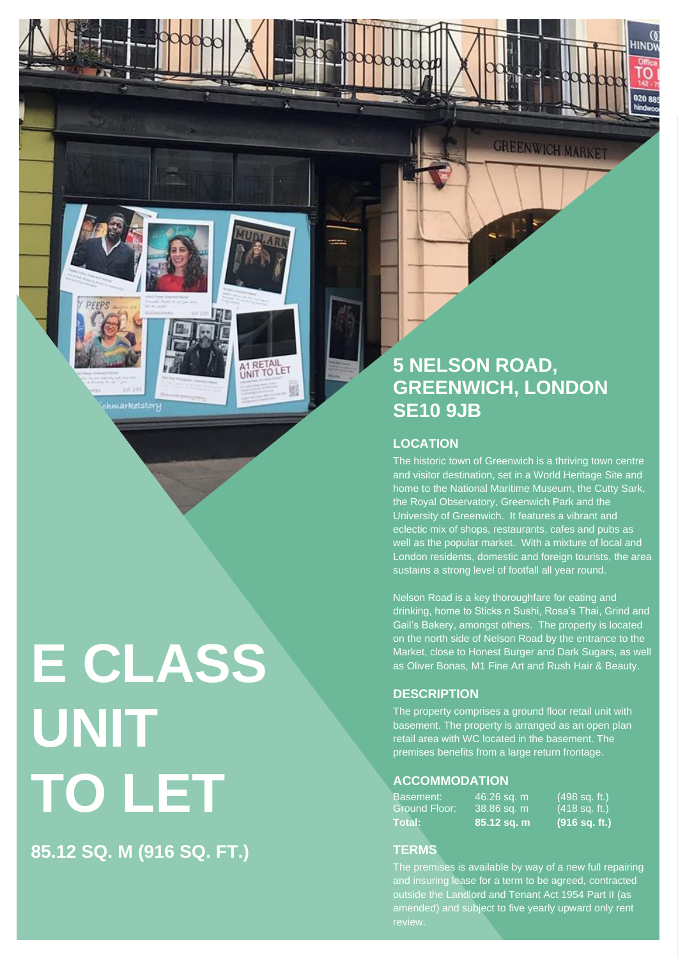*Chmarketstory* 

A1 RETAIL

**E CLASS UNIT TO LET**

**85.12 SQ. M (916 SQ. FT.)**

# **5 NELSON ROAD, GREENWICH, LONDON SE10 9JB**

**GREENWICH MARKET** 

HINDW

020 e

## **LOCATION**

The historic town of Greenwich is a thriving town centre and visitor destination, set in a World Heritage Site and home to the National Maritime Museum, the Cutty Sark, the Royal Observatory, Greenwich Park and the University of Greenwich. It features a vibrant and eclectic mix of shops, restaurants, cafes and pubs as well as the popular market. With a mixture of local and London residents, domestic and foreign tourists, the area sustains a strong level of footfall all year round.

Nelson Road is a key thoroughfare for eating and drinking, home to Sticks n Sushi, Rosa's Thai, Grind and Gail's Bakery, amongst others. The property is located on the north side of Nelson Road by the entrance to the Market, close to Honest Burger and Dark Sugars, as well as Oliver Bonas, M1 Fine Art and Rush Hair & Beauty.

# **DESCRIPTION**

The property comprises a ground floor retail unit with basement. The property is arranged as an open plan retail area with WC located in the basement. The premises benefits from a large return frontage.

## **ACCOMMODATION**

| Basement:     | 46.26 sq. m | $(498 \text{ sq. ft.})$ |
|---------------|-------------|-------------------------|
| Ground Floor: | 38.86 sq. m | l (418 sq. ft.)         |
| Total:        | 85.12 sq. m | $(916$ sq. ft.)         |

## **TERMS**

The premises is available by way of a new full repairing and insuring lease for a term to be agreed, contracted outside the Landlord and Tenant Act 1954 Part II (as amended) and subject to five yearly upward only rent review.